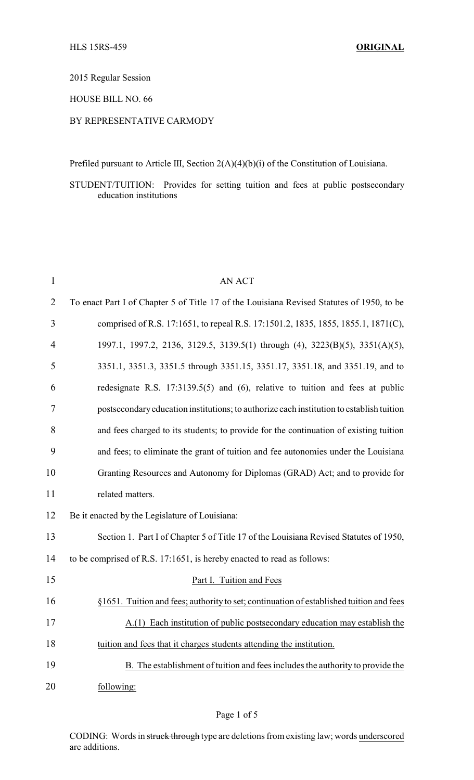2015 Regular Session

HOUSE BILL NO. 66

## BY REPRESENTATIVE CARMODY

Prefiled pursuant to Article III, Section 2(A)(4)(b)(i) of the Constitution of Louisiana.

STUDENT/TUITION: Provides for setting tuition and fees at public postsecondary education institutions

| $\mathbf{1}$   | <b>AN ACT</b>                                                                             |
|----------------|-------------------------------------------------------------------------------------------|
| $\overline{2}$ | To enact Part I of Chapter 5 of Title 17 of the Louisiana Revised Statutes of 1950, to be |
| 3              | comprised of R.S. 17:1651, to repeal R.S. 17:1501.2, 1835, 1855, 1855.1, 1871(C),         |
| 4              | 1997.1, 1997.2, 2136, 3129.5, 3139.5(1) through (4), 3223(B)(5), 3351(A)(5),              |
| 5              | 3351.1, 3351.3, 3351.5 through 3351.15, 3351.17, 3351.18, and 3351.19, and to             |
| 6              | redesignate R.S. 17:3139.5(5) and (6), relative to tuition and fees at public             |
| 7              | postsecondary education institutions; to authorize each institution to establish tuition  |
| 8              | and fees charged to its students; to provide for the continuation of existing tuition     |
| 9              | and fees; to eliminate the grant of tuition and fee autonomies under the Louisiana        |
| 10             | Granting Resources and Autonomy for Diplomas (GRAD) Act; and to provide for               |
| 11             | related matters.                                                                          |
| 12             | Be it enacted by the Legislature of Louisiana:                                            |
| 13             | Section 1. Part I of Chapter 5 of Title 17 of the Louisiana Revised Statutes of 1950,     |
| 14             | to be comprised of R.S. 17:1651, is hereby enacted to read as follows:                    |
| 15             | Part I. Tuition and Fees                                                                  |
| 16             | §1651. Tuition and fees; authority to set; continuation of established tuition and fees   |
| 17             | A.(1) Each institution of public postsecondary education may establish the                |
| 18             | tuition and fees that it charges students attending the institution.                      |
| 19             | B. The establishment of tuition and fees includes the authority to provide the            |
| 20             | following:                                                                                |

CODING: Words in struck through type are deletions from existing law; words underscored are additions.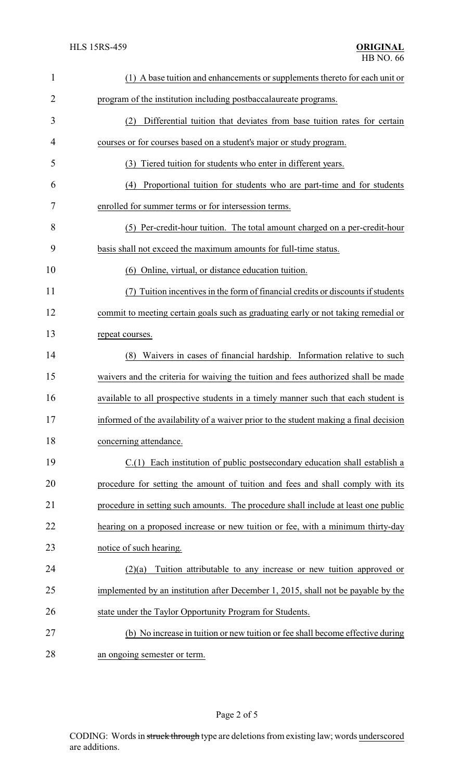| 1  | (1) A base tuition and enhancements or supplements thereto for each unit or           |
|----|---------------------------------------------------------------------------------------|
| 2  | program of the institution including postbaccalaureate programs.                      |
| 3  | Differential tuition that deviates from base tuition rates for certain<br>(2)         |
| 4  | courses or for courses based on a student's major or study program.                   |
| 5  | (3) Tiered tuition for students who enter in different years.                         |
| 6  | Proportional tuition for students who are part-time and for students<br>(4)           |
| 7  | enrolled for summer terms or for intersession terms.                                  |
| 8  | (5) Per-credit-hour tuition. The total amount charged on a per-credit-hour            |
| 9  | basis shall not exceed the maximum amounts for full-time status.                      |
| 10 | (6) Online, virtual, or distance education tuition.                                   |
| 11 | Tuition incentives in the form of financial credits or discounts if students          |
| 12 | commit to meeting certain goals such as graduating early or not taking remedial or    |
| 13 | repeat courses.                                                                       |
| 14 | (8) Waivers in cases of financial hardship. Information relative to such              |
| 15 | waivers and the criteria for waiving the tuition and fees authorized shall be made    |
| 16 | available to all prospective students in a timely manner such that each student is    |
| 17 | informed of the availability of a waiver prior to the student making a final decision |
| 18 | concerning attendance.                                                                |
| 19 | C.(1) Each institution of public postsecondary education shall establish a            |
| 20 | procedure for setting the amount of tuition and fees and shall comply with its        |
| 21 | procedure in setting such amounts. The procedure shall include at least one public    |
| 22 | hearing on a proposed increase or new tuition or fee, with a minimum thirty-day       |
| 23 | notice of such hearing.                                                               |
| 24 | Tuition attributable to any increase or new tuition approved or<br>(2)(a)             |
| 25 | implemented by an institution after December 1, 2015, shall not be payable by the     |
| 26 | state under the Taylor Opportunity Program for Students.                              |
| 27 | (b) No increase in tuition or new tuition or fee shall become effective during        |
| 28 | an ongoing semester or term.                                                          |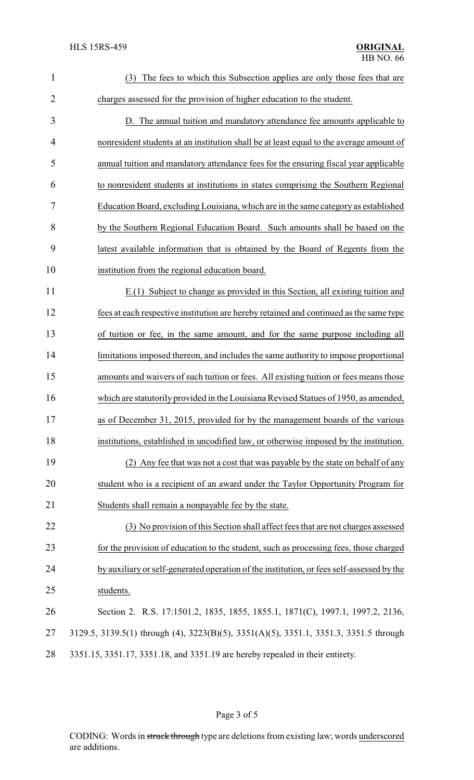| $\mathbf{1}$   | The fees to which this Subsection applies are only those fees that are<br>(3)             |
|----------------|-------------------------------------------------------------------------------------------|
| $\overline{2}$ | charges assessed for the provision of higher education to the student.                    |
| 3              | D. The annual tuition and mandatory attendance fee amounts applicable to                  |
| 4              | nonresident students at an institution shall be at least equal to the average amount of   |
| 5              | annual tuition and mandatory attendance fees for the ensuring fiscal year applicable      |
| 6              | to nonresident students at institutions in states comprising the Southern Regional        |
| 7              | Education Board, excluding Louisiana, which are in the same category as established       |
| 8              | by the Southern Regional Education Board. Such amounts shall be based on the              |
| 9              | latest available information that is obtained by the Board of Regents from the            |
| 10             | institution from the regional education board.                                            |
| 11             | E.(1) Subject to change as provided in this Section, all existing tuition and             |
| 12             | fees at each respective institution are hereby retained and continued as the same type    |
| 13             | of tuition or fee, in the same amount, and for the same purpose including all             |
| 14             | limitations imposed thereon, and includes the same authority to impose proportional       |
| 15             | amounts and waivers of such tuition or fees. All existing tuition or fees means those     |
| 16             | which are statutorily provided in the Louisiana Revised Statues of 1950, as amended,      |
| 17             | as of December 31, 2015, provided for by the management boards of the various             |
| 18             | institutions, established in uncodified law, or otherwise imposed by the institution.     |
| 19             | (2) Any fee that was not a cost that was payable by the state on behalf of any            |
| 20             | student who is a recipient of an award under the Taylor Opportunity Program for           |
| 21             | Students shall remain a nonpayable fee by the state.                                      |
| 22             | (3) No provision of this Section shall affect fees that are not charges assessed          |
| 23             | for the provision of education to the student, such as processing fees, those charged     |
| 24             | by auxiliary or self-generated operation of the institution, or fees self-assessed by the |
| 25             | students.                                                                                 |
| 26             | Section 2. R.S. 17:1501.2, 1835, 1855, 1855.1, 1871(C), 1997.1, 1997.2, 2136,             |
| 27             | 3129.5, 3139.5(1) through (4), 3223(B)(5), 3351(A)(5), 3351.1, 3351.3, 3351.5 through     |
| 28             | 3351.15, 3351.17, 3351.18, and 3351.19 are hereby repealed in their entirety.             |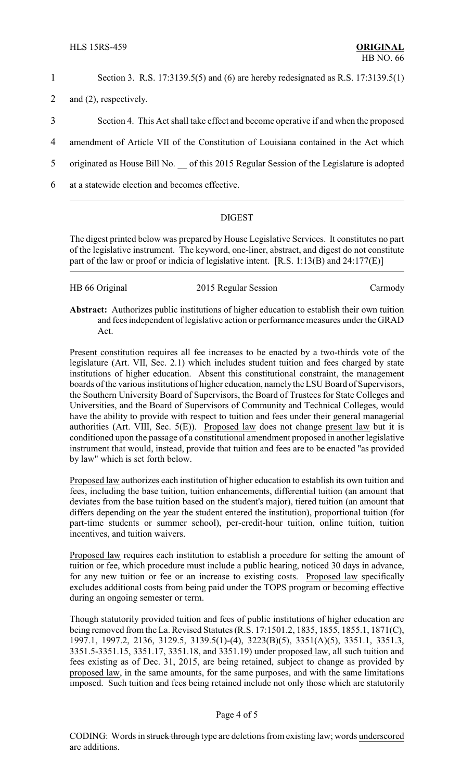1 Section 3. R.S. 17:3139.5(5) and (6) are hereby redesignated as R.S. 17:3139.5(1)

- 2 and (2), respectively.
- 3 Section 4. This Act shall take effect and become operative if and when the proposed
- 4 amendment of Article VII of the Constitution of Louisiana contained in the Act which
- 5 originated as House Bill No. \_\_ of this 2015 Regular Session of the Legislature is adopted
- 6 at a statewide election and becomes effective.

## DIGEST

The digest printed below was prepared by House Legislative Services. It constitutes no part of the legislative instrument. The keyword, one-liner, abstract, and digest do not constitute part of the law or proof or indicia of legislative intent. [R.S. 1:13(B) and 24:177(E)]

| HB 66 Original | 2015 Regular Session | Carmody |
|----------------|----------------------|---------|
|----------------|----------------------|---------|

**Abstract:** Authorizes public institutions of higher education to establish their own tuition and fees independent of legislative action or performance measures under the GRAD Act.

Present constitution requires all fee increases to be enacted by a two-thirds vote of the legislature (Art. VII, Sec. 2.1) which includes student tuition and fees charged by state institutions of higher education. Absent this constitutional constraint, the management boards of the various institutions of higher education, namely the LSU Board of Supervisors, the Southern University Board of Supervisors, the Board of Trustees for State Colleges and Universities, and the Board of Supervisors of Community and Technical Colleges, would have the ability to provide with respect to tuition and fees under their general managerial authorities (Art. VIII, Sec.  $5(E)$ ). Proposed law does not change present law but it is conditioned upon the passage of a constitutional amendment proposed in another legislative instrument that would, instead, provide that tuition and fees are to be enacted "as provided by law" which is set forth below.

Proposed law authorizes each institution of higher education to establish its own tuition and fees, including the base tuition, tuition enhancements, differential tuition (an amount that deviates from the base tuition based on the student's major), tiered tuition (an amount that differs depending on the year the student entered the institution), proportional tuition (for part-time students or summer school), per-credit-hour tuition, online tuition, tuition incentives, and tuition waivers.

Proposed law requires each institution to establish a procedure for setting the amount of tuition or fee, which procedure must include a public hearing, noticed 30 days in advance, for any new tuition or fee or an increase to existing costs. Proposed law specifically excludes additional costs from being paid under the TOPS program or becoming effective during an ongoing semester or term.

Though statutorily provided tuition and fees of public institutions of higher education are being removed from the La. Revised Statutes (R.S. 17:1501.2, 1835, 1855, 1855.1, 1871(C), 1997.1, 1997.2, 2136, 3129.5, 3139.5(1)-(4), 3223(B)(5), 3351(A)(5), 3351.1, 3351.3, 3351.5-3351.15, 3351.17, 3351.18, and 3351.19) under proposed law, all such tuition and fees existing as of Dec. 31, 2015, are being retained, subject to change as provided by proposed law, in the same amounts, for the same purposes, and with the same limitations imposed. Such tuition and fees being retained include not only those which are statutorily